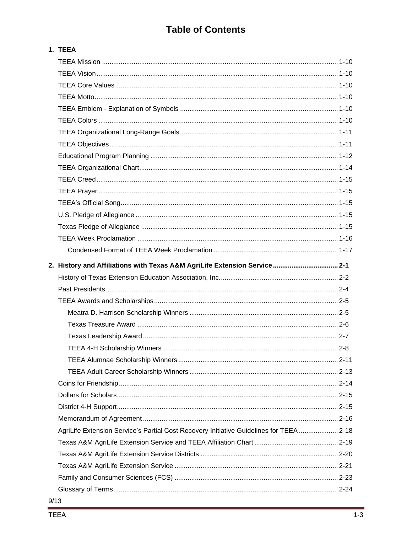## **Table of Contents**

## 1. TEEA

| 2. History and Affiliations with Texas A&M AgriLife Extension Service 2-1               |  |
|-----------------------------------------------------------------------------------------|--|
|                                                                                         |  |
|                                                                                         |  |
|                                                                                         |  |
|                                                                                         |  |
|                                                                                         |  |
|                                                                                         |  |
|                                                                                         |  |
|                                                                                         |  |
|                                                                                         |  |
|                                                                                         |  |
|                                                                                         |  |
|                                                                                         |  |
|                                                                                         |  |
|                                                                                         |  |
| AgriLife Extension Service's Partial Cost Recovery Initiative Guidelines for TEEA  2-18 |  |
|                                                                                         |  |
|                                                                                         |  |
|                                                                                         |  |
|                                                                                         |  |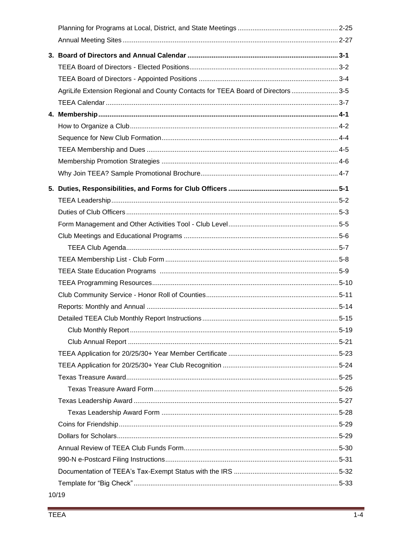| AgriLife Extension Regional and County Contacts for TEEA Board of Directors  3-5 |  |
|----------------------------------------------------------------------------------|--|
|                                                                                  |  |
|                                                                                  |  |
|                                                                                  |  |
|                                                                                  |  |
|                                                                                  |  |
|                                                                                  |  |
|                                                                                  |  |
|                                                                                  |  |
|                                                                                  |  |
|                                                                                  |  |
|                                                                                  |  |
|                                                                                  |  |
|                                                                                  |  |
|                                                                                  |  |
|                                                                                  |  |
|                                                                                  |  |
|                                                                                  |  |
|                                                                                  |  |
|                                                                                  |  |
|                                                                                  |  |
|                                                                                  |  |
|                                                                                  |  |
|                                                                                  |  |
|                                                                                  |  |
|                                                                                  |  |
|                                                                                  |  |
|                                                                                  |  |
|                                                                                  |  |
|                                                                                  |  |
|                                                                                  |  |
|                                                                                  |  |
|                                                                                  |  |
|                                                                                  |  |
|                                                                                  |  |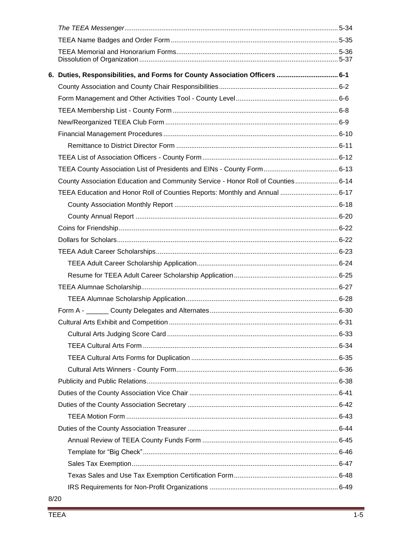| 6. Duties, Responsibilities, and Forms for County Association Officers ……………………………… 6-1 |  |
|-----------------------------------------------------------------------------------------|--|
|                                                                                         |  |
|                                                                                         |  |
|                                                                                         |  |
|                                                                                         |  |
|                                                                                         |  |
|                                                                                         |  |
|                                                                                         |  |
|                                                                                         |  |
| County Association Education and Community Service - Honor Roll of Counties 6-14        |  |
| TEEA Education and Honor Roll of Counties Reports: Monthly and Annual  6-17             |  |
|                                                                                         |  |
|                                                                                         |  |
|                                                                                         |  |
|                                                                                         |  |
|                                                                                         |  |
|                                                                                         |  |
|                                                                                         |  |
|                                                                                         |  |
|                                                                                         |  |
|                                                                                         |  |
|                                                                                         |  |
|                                                                                         |  |
|                                                                                         |  |
|                                                                                         |  |
|                                                                                         |  |
|                                                                                         |  |
|                                                                                         |  |
|                                                                                         |  |
|                                                                                         |  |
|                                                                                         |  |
|                                                                                         |  |
|                                                                                         |  |
|                                                                                         |  |
|                                                                                         |  |
|                                                                                         |  |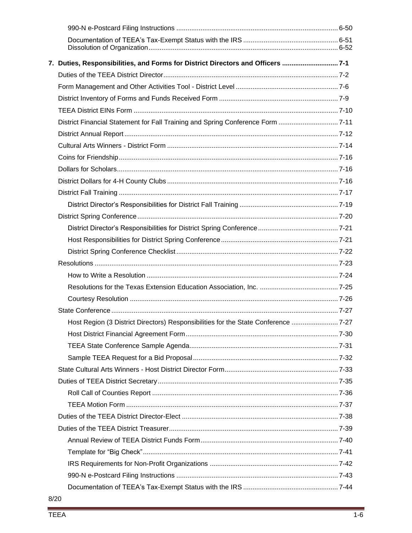| 7. Duties, Responsibilities, and Forms for District Directors and Officers  7-1   |  |
|-----------------------------------------------------------------------------------|--|
|                                                                                   |  |
|                                                                                   |  |
|                                                                                   |  |
|                                                                                   |  |
| District Financial Statement for Fall Training and Spring Conference Form 7-11    |  |
|                                                                                   |  |
|                                                                                   |  |
|                                                                                   |  |
|                                                                                   |  |
|                                                                                   |  |
|                                                                                   |  |
|                                                                                   |  |
|                                                                                   |  |
|                                                                                   |  |
|                                                                                   |  |
|                                                                                   |  |
|                                                                                   |  |
|                                                                                   |  |
|                                                                                   |  |
|                                                                                   |  |
|                                                                                   |  |
| Host Region (3 District Directors) Responsibilities for the State Conference 7-27 |  |
|                                                                                   |  |
|                                                                                   |  |
|                                                                                   |  |
|                                                                                   |  |
|                                                                                   |  |
|                                                                                   |  |
|                                                                                   |  |
|                                                                                   |  |
|                                                                                   |  |
|                                                                                   |  |
|                                                                                   |  |
|                                                                                   |  |
|                                                                                   |  |
|                                                                                   |  |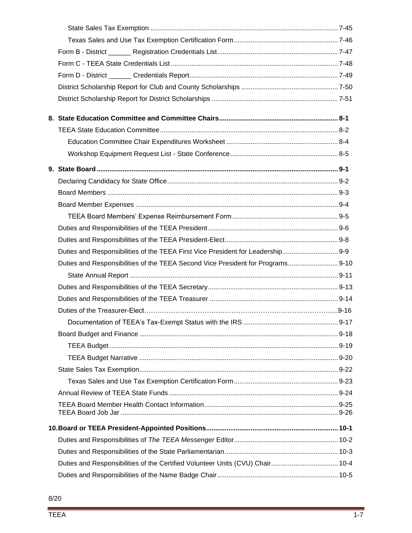| Duties and Responsibilities of the TEEA First Vice President for Leadership 9-9 |  |
|---------------------------------------------------------------------------------|--|
| Duties and Responsibilities of the TEEA Second Vice President for Programs 9-10 |  |
|                                                                                 |  |
|                                                                                 |  |
|                                                                                 |  |
|                                                                                 |  |
|                                                                                 |  |
|                                                                                 |  |
|                                                                                 |  |
|                                                                                 |  |
|                                                                                 |  |
|                                                                                 |  |
|                                                                                 |  |
|                                                                                 |  |
|                                                                                 |  |
|                                                                                 |  |
|                                                                                 |  |
| Duties and Responsibilities of the Certified Volunteer Units (CVU) Chair 10-4   |  |
|                                                                                 |  |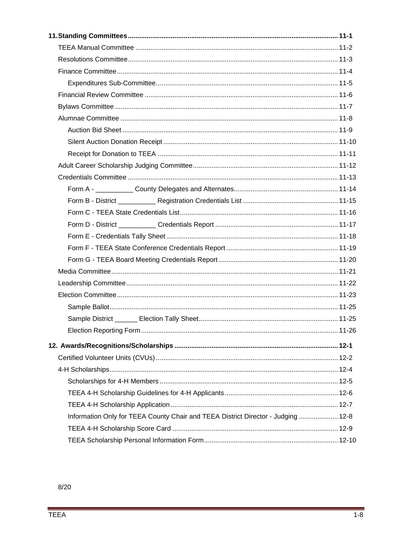| Information Only for TEEA County Chair and TEEA District Director - Judging  12-8 |  |
|-----------------------------------------------------------------------------------|--|
|                                                                                   |  |
|                                                                                   |  |